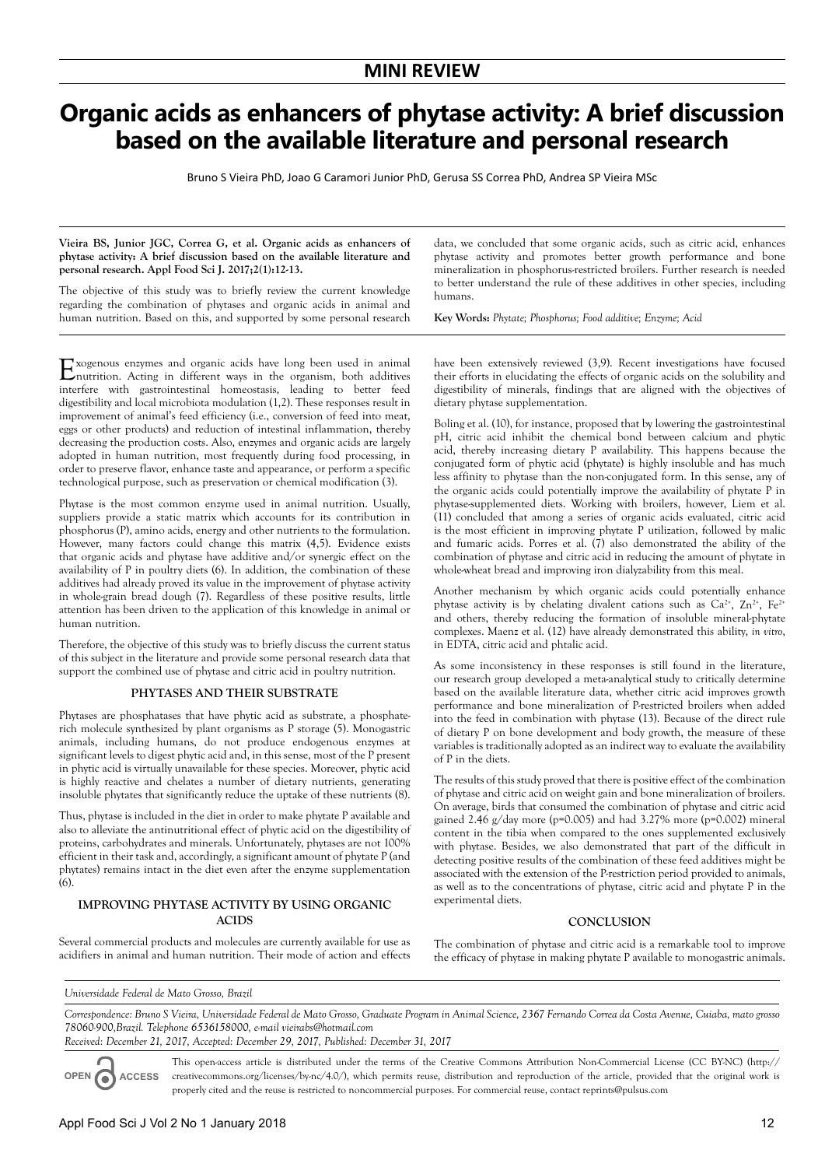# **Organic acids as enhancers of phytase activity: A brief discussion based on the available literature and personal research**

Bruno S Vieira PhD, Joao G Caramori Junior PhD, Gerusa SS Correa PhD, Andrea SP Vieira MSc

#### **Vieira BS, Junior JGC, Correa G, et al. Organic acids as enhancers of phytase activity: A brief discussion based on the available literature and personal research. Appl Food Sci J. 2017;2(1):12-13.**

The objective of this study was to briefly review the current knowledge regarding the combination of phytases and organic acids in animal and human nutrition. Based on this, and supported by some personal research

Exogenous enzymes and organic acids have long been used in animal nutrition. Acting in different ways in the organism, both additives interfere with gastrointestinal homeostasis, leading to better feed digestibility and local microbiota modulation (1,2). These responses result in improvement of animal's feed efficiency (i.e., conversion of feed into meat, eggs or other products) and reduction of intestinal inflammation, thereby decreasing the production costs. Also, enzymes and organic acids are largely adopted in human nutrition, most frequently during food processing, in order to preserve flavor, enhance taste and appearance, or perform a specific technological purpose, such as preservation or chemical modification (3).

Phytase is the most common enzyme used in animal nutrition. Usually, suppliers provide a static matrix which accounts for its contribution in phosphorus (P), amino acids, energy and other nutrients to the formulation. However, many factors could change this matrix (4,5). Evidence exists that organic acids and phytase have additive and/or synergic effect on the availability of P in poultry diets (6). In addition, the combination of these additives had already proved its value in the improvement of phytase activity in whole-grain bread dough (7). Regardless of these positive results, little attention has been driven to the application of this knowledge in animal or human nutrition.

Therefore, the objective of this study was to briefly discuss the current status of this subject in the literature and provide some personal research data that support the combined use of phytase and citric acid in poultry nutrition.

### **PHYTASES AND THEIR SUBSTRATE**

Phytases are phosphatases that have phytic acid as substrate, a phosphaterich molecule synthesized by plant organisms as P storage (5). Monogastric animals, including humans, do not produce endogenous enzymes at significant levels to digest phytic acid and, in this sense, most of the P present in phytic acid is virtually unavailable for these species. Moreover, phytic acid is highly reactive and chelates a number of dietary nutrients, generating insoluble phytates that significantly reduce the uptake of these nutrients (8).

Thus, phytase is included in the diet in order to make phytate P available and also to alleviate the antinutritional effect of phytic acid on the digestibility of proteins, carbohydrates and minerals. Unfortunately, phytases are not 100% efficient in their task and, accordingly, a significant amount of phytate P (and phytates) remains intact in the diet even after the enzyme supplementation (6).

#### **IMPROVING PHYTASE ACTIVITY BY USING ORGANIC ACIDS**

data, we concluded that some organic acids, such as citric acid, enhances phytase activity and promotes better growth performance and bone mineralization in phosphorus-restricted broilers. Further research is needed to better understand the rule of these additives in other species, including humans.

**Key Words:** *Phytate; Phosphorus; Food additive; Enzyme; Acid*

have been extensively reviewed (3,9). Recent investigations have focused their efforts in elucidating the effects of organic acids on the solubility and digestibility of minerals, findings that are aligned with the objectives of dietary phytase supplementation.

Boling et al. (10), for instance, proposed that by lowering the gastrointestinal pH, citric acid inhibit the chemical bond between calcium and phytic acid, thereby increasing dietary P availability. This happens because the conjugated form of phytic acid (phytate) is highly insoluble and has much less affinity to phytase than the non-conjugated form. In this sense, any of the organic acids could potentially improve the availability of phytate P in phytase-supplemented diets. Working with broilers, however, Liem et al. (11) concluded that among a series of organic acids evaluated, citric acid is the most efficient in improving phytate P utilization, followed by malic and fumaric acids. Porres et al. (7) also demonstrated the ability of the combination of phytase and citric acid in reducing the amount of phytate in whole-wheat bread and improving iron dialyzability from this meal.

Another mechanism by which organic acids could potentially enhance phytase activity is by chelating divalent cations such as  $Ca^{2+}$ ,  $Zn^{2+}$ ,  $Fe^{2+}$ and others, thereby reducing the formation of insoluble mineral-phytate complexes. Maenz et al. (12) have already demonstrated this ability, *in vitro*, in EDTA, citric acid and phtalic acid.

As some inconsistency in these responses is still found in the literature, our research group developed a meta-analytical study to critically determine based on the available literature data, whether citric acid improves growth performance and bone mineralization of P-restricted broilers when added into the feed in combination with phytase (13). Because of the direct rule of dietary P on bone development and body growth, the measure of these variables is traditionally adopted as an indirect way to evaluate the availability of P in the diets.

The results of this study proved that there is positive effect of the combination of phytase and citric acid on weight gain and bone mineralization of broilers. On average, birds that consumed the combination of phytase and citric acid gained 2.46 g/day more (p=0.005) and had 3.27% more (p=0.002) mineral content in the tibia when compared to the ones supplemented exclusively with phytase. Besides, we also demonstrated that part of the difficult in detecting positive results of the combination of these feed additives might be associated with the extension of the P-restriction period provided to animals, as well as to the concentrations of phytase, citric acid and phytate P in the experimental diets.

#### **CONCLUSION**

Several commercial products and molecules are currently available for use as acidifiers in animal and human nutrition. Their mode of action and effects

The combination of phytase and citric acid is a remarkable tool to improve the efficacy of phytase in making phytate P available to monogastric animals.

*Universidade Federal de Mato Grosso, Brazil*

*Correspondence: Bruno S Vieira, Universidade Federal de Mato Grosso, Graduate Program in Animal Science, 2367 Fernando Correa da Costa Avenue, Cuiaba, mato grosso 78060-900,Brazil. Telephone 6536158000, e-mail vieirabs@hotmail.com Received: December 21, 2017, Accepted: December 29, 2017, Published: December 31, 2017*

**OPEN ACCESS**

This open-access article is distributed under the terms of the Creative Commons Attribution Non-Commercial License (CC BY-NC) (http:// creativecommons.org/licenses/by-nc/4.0/), which permits reuse, distribution and reproduction of the article, provided that the original work is properly cited and the reuse is restricted to noncommercial purposes. For commercial reuse, contact reprints@pulsus.com